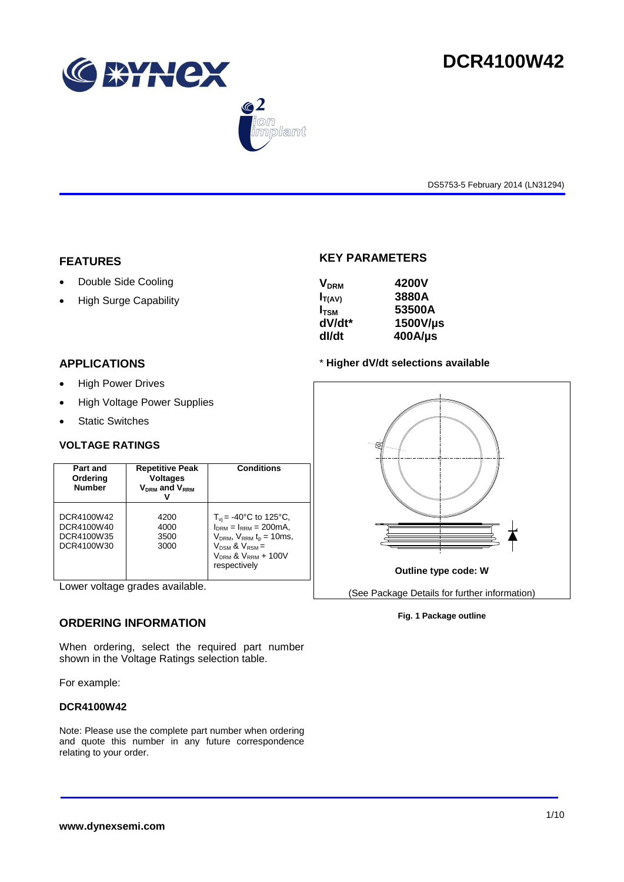





DS5753-5 February 2014 (LN31294)

## **FEATURES**

- Double Side Cooling
- High Surge Capability

## **KEY PARAMETERS**

| 4200V      |
|------------|
| 3880A      |
| 53500A     |
| 1500V/µs   |
| $400$ A/µs |
|            |

## **APPLICATIONS**

- High Power Drives
- High Voltage Power Supplies
- Static Switches

## **VOLTAGE RATINGS**

| Part and<br>Ordering<br><b>Number</b>                | <b>Repetitive Peak</b><br><b>Voltages</b><br>$V_{DRM}$ and $V_{RRM}$ | <b>Conditions</b>                                                                                                                                                                         |
|------------------------------------------------------|----------------------------------------------------------------------|-------------------------------------------------------------------------------------------------------------------------------------------------------------------------------------------|
| DCR4100W42<br>DCR4100W40<br>DCR4100W35<br>DCR4100W30 | 4200<br>4000<br>3500<br>3000                                         | $T_{\rm vi}$ = -40°C to 125°C,<br>$I_{DRM} = I_{RRM} = 200 \text{mA}$<br>$V_{DRM}$ , $V_{RRM}$ $t_{p}$ = 10ms,<br>$V_{DSM}$ & $V_{RSM}$ =<br>$V_{DRM}$ & $V_{RRM}$ + 100V<br>respectively |

Lower voltage grades available.

## **ORDERING INFORMATION**

When ordering, select the required part number shown in the Voltage Ratings selection table.

For example:

## **DCR4100W42**

Note: Please use the complete part number when ordering and quote this number in any future correspondence relating to your order.





**Fig. 1 Package outline**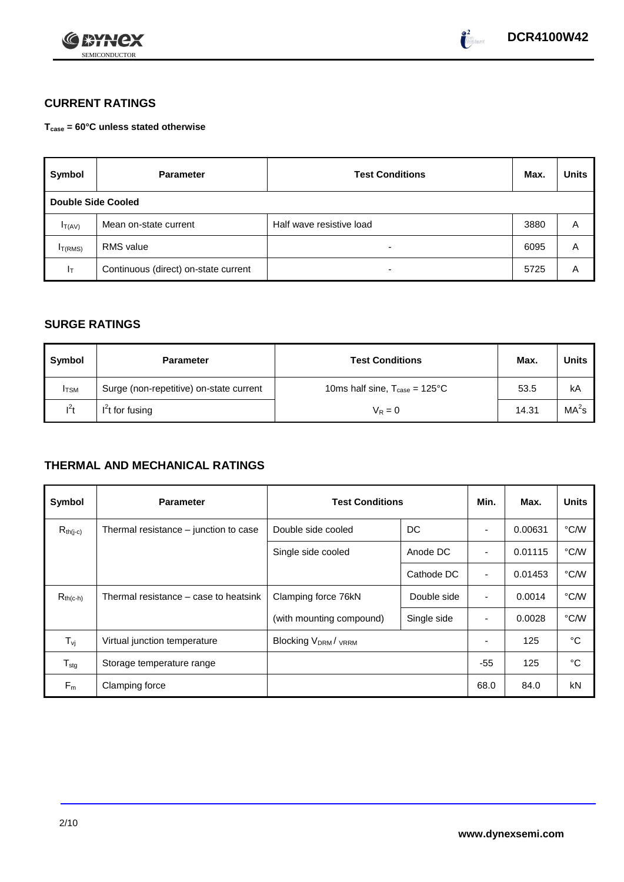



# **CURRENT RATINGS**

**Tcase = 60°C unless stated otherwise**

| Symbol                    | <b>Parameter</b>                     | <b>Test Conditions</b>   | Max. | <b>Units</b> |
|---------------------------|--------------------------------------|--------------------------|------|--------------|
| <b>Double Side Cooled</b> |                                      |                          |      |              |
| $I_{T(AV)}$               | Mean on-state current                | Half wave resistive load | 3880 | Α            |
| I <sub>T(RMS)</sub>       | <b>RMS</b> value                     | $\overline{\phantom{0}}$ | 6095 | A            |
| $I_T$                     | Continuous (direct) on-state current | $\overline{\phantom{a}}$ | 5725 | Α            |

# **SURGE RATINGS**

| Symbol       | <b>Test Conditions</b><br><b>Parameter</b> |                                                  | Max.  | <b>Units</b>      |
|--------------|--------------------------------------------|--------------------------------------------------|-------|-------------------|
| <b>I</b> TSM | Surge (non-repetitive) on-state current    | 10ms half sine, $T_{\text{case}} = 125^{\circ}C$ | 53.5  | kA                |
| $l^2t$       | $I2t$ for fusing                           | $V_R = 0$                                        | 14.31 | MA <sup>2</sup> s |

# **THERMAL AND MECHANICAL RATINGS**

| Symbol           | <b>Parameter</b>                      | <b>Test Conditions</b>                |             | Min.           | Max.    | <b>Units</b> |
|------------------|---------------------------------------|---------------------------------------|-------------|----------------|---------|--------------|
| $R_{th(j-c)}$    | Thermal resistance – junction to case | Double side cooled                    | DC          |                | 0.00631 | °C/W         |
|                  |                                       | Single side cooled                    | Anode DC    |                | 0.01115 | °C/W         |
|                  |                                       |                                       | Cathode DC  | $\blacksquare$ | 0.01453 | °C/W         |
| $R_{th(c-h)}$    | Thermal resistance – case to heatsink | Clamping force 76kN                   | Double side | $\blacksquare$ | 0.0014  | °C/W         |
|                  |                                       | (with mounting compound)              | Single side | $\blacksquare$ | 0.0028  | °C/W         |
| $T_{\rm vj}$     | Virtual junction temperature          | <b>Blocking V<sub>DRM</sub>/ VRRM</b> |             |                | 125     | °C           |
| $T_{\text{stg}}$ | Storage temperature range             |                                       |             | $-55$          | 125     | °C           |
| $F_m$            | Clamping force                        |                                       |             | 68.0           | 84.0    | kN           |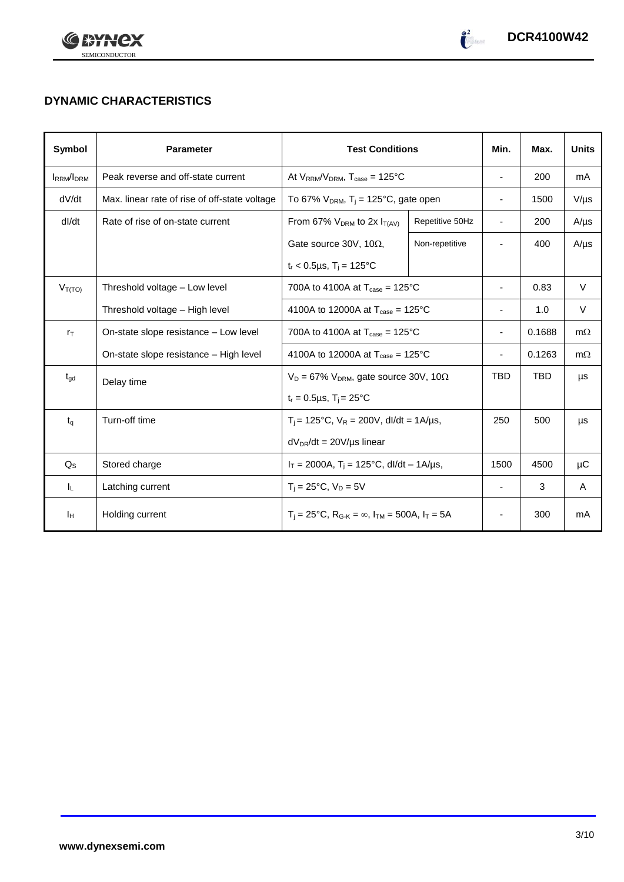



# **DYNAMIC CHARACTERISTICS**

| Symbol            | <b>Parameter</b>                              | <b>Test Conditions</b>                                                  |                 | Min.                     | Max.       | <b>Units</b> |
|-------------------|-----------------------------------------------|-------------------------------------------------------------------------|-----------------|--------------------------|------------|--------------|
| <b>IRRM</b> /IDRM | Peak reverse and off-state current            | At $V_{RRM}/V_{DRM}$ , $T_{case} = 125^{\circ}C$                        |                 | $\overline{\phantom{a}}$ | 200        | mA           |
| dV/dt             | Max. linear rate of rise of off-state voltage | To 67% $V_{DRM}$ , T <sub>i</sub> = 125°C, gate open                    |                 | $\overline{\phantom{a}}$ | 1500       | $V/\mu s$    |
| dl/dt             | Rate of rise of on-state current              | From 67% $V_{DRM}$ to 2x $I_{T(AV)}$                                    | Repetitive 50Hz | $\overline{\phantom{a}}$ | 200        | $A/\mu s$    |
|                   |                                               | Gate source 30V, 10 $\Omega$ ,                                          | Non-repetitive  |                          | 400        | $A/\mu s$    |
|                   |                                               | $t_r$ < 0.5µs, T <sub>i</sub> = 125°C                                   |                 |                          |            |              |
| $V_{T(TO)}$       | Threshold voltage - Low level                 | 700A to 4100A at $T_{\text{case}} = 125^{\circ}\text{C}$                |                 |                          | 0.83       | V            |
|                   | Threshold voltage - High level                | 4100A to 12000A at $T_{\text{case}} = 125^{\circ}$ C                    |                 | ٠                        | 1.0        | V            |
| $r_{\text{T}}$    | On-state slope resistance – Low level         | 700A to 4100A at $T_{\text{case}} = 125^{\circ}$ C                      |                 | ٠                        | 0.1688     | $m\Omega$    |
|                   | On-state slope resistance - High level        | 4100A to 12000A at $T_{\text{case}} = 125^{\circ}$ C                    |                 | ۰                        | 0.1263     | $m\Omega$    |
| $t_{\text{gd}}$   | Delay time                                    | $V_D = 67\%$ V <sub>DRM</sub> , gate source 30V, 10 $\Omega$            |                 | <b>TBD</b>               | <b>TBD</b> | μs           |
|                   |                                               | $t_r = 0.5 \mu s$ , $T_i = 25$ °C                                       |                 |                          |            |              |
| $t_q$             | Turn-off time                                 | $T_i$ = 125°C, $V_R$ = 200V, dl/dt = 1A/µs,                             |                 | 250                      | 500        | μs           |
|                   | $dV_{DR}/dt = 20V/\mu s$ linear               |                                                                         |                 |                          |            |              |
| $Q_{\rm S}$       | Stored charge                                 | $I_T = 2000A$ , $T_i = 125^{\circ}C$ , dl/dt - 1A/µs,                   |                 | 1500                     | 4500       | μC           |
| IL.               | Latching current                              | $T_i = 25^{\circ}C$ , $V_D = 5V$                                        |                 | $\overline{\phantom{a}}$ | 3          | A            |
| Iн                | Holding current                               | $T_i = 25^{\circ}C$ , $R_{G-K} = \infty$ , $I_{TM} = 500A$ , $I_T = 5A$ |                 | $\overline{\phantom{a}}$ | 300        | mA           |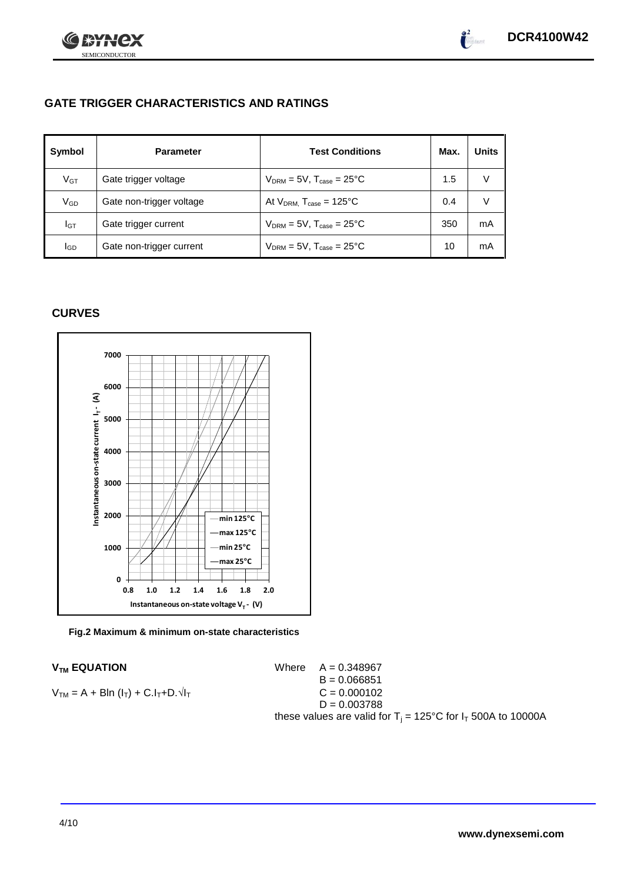

# **GATE TRIGGER CHARACTERISTICS AND RATINGS**

| Symbol          | <b>Parameter</b>         | <b>Test Conditions</b>                    | Max. | Units |
|-----------------|--------------------------|-------------------------------------------|------|-------|
| V <sub>GT</sub> | Gate trigger voltage     | $V_{DRM} = 5V$ , $T_{case} = 25^{\circ}C$ | 1.5  |       |
| V <sub>GD</sub> | Gate non-trigger voltage | At $V_{DRM}$ , $T_{case} = 125^{\circ}C$  | 0.4  |       |
| Iст             | Gate trigger current     | $V_{DRM}$ = 5V, $T_{case}$ = 25°C         | 350  | mA    |
| lgp             | Gate non-trigger current | $V_{DRM} = 5V$ , $T_{case} = 25^{\circ}C$ | 10   | mA    |

## **CURVES**



**Fig.2 Maximum & minimum on-state characteristics**

 $V_{TM}$  **EQUATION** Where  $A = 0.348967$ B = 0.066851  $C = 0.000102$  $D = 0.003788$ these values are valid for  $T_i = 125^{\circ}C$  for  $I_T$  500A to 10000A

$$
V_{TM} = A + B\ln(I_T) + C.I_T + D.\sqrt{I_T}
$$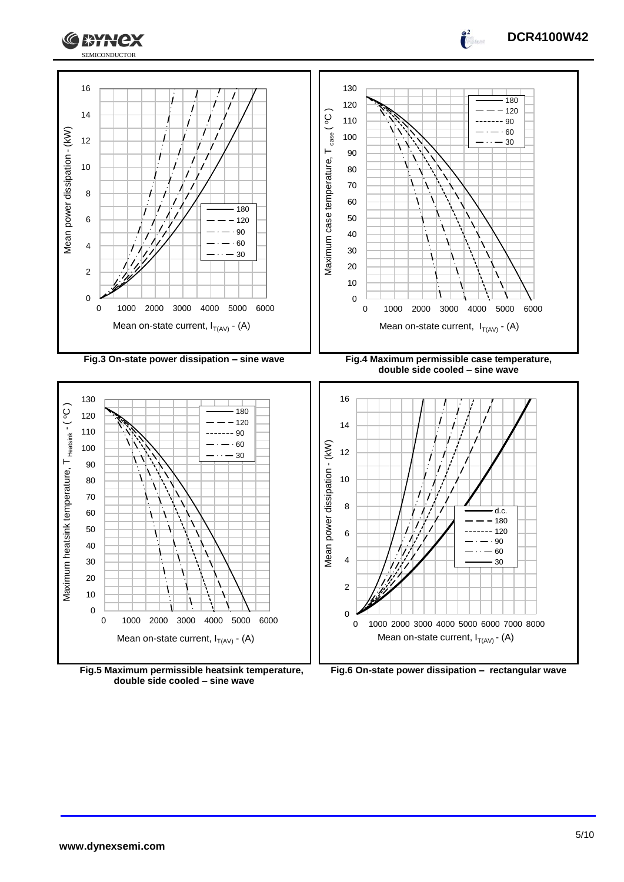



**Fig.5 Maximum permissible heatsink temperature, double side cooled – sine wave**



**DCR4100W42**

 $\int_0^2$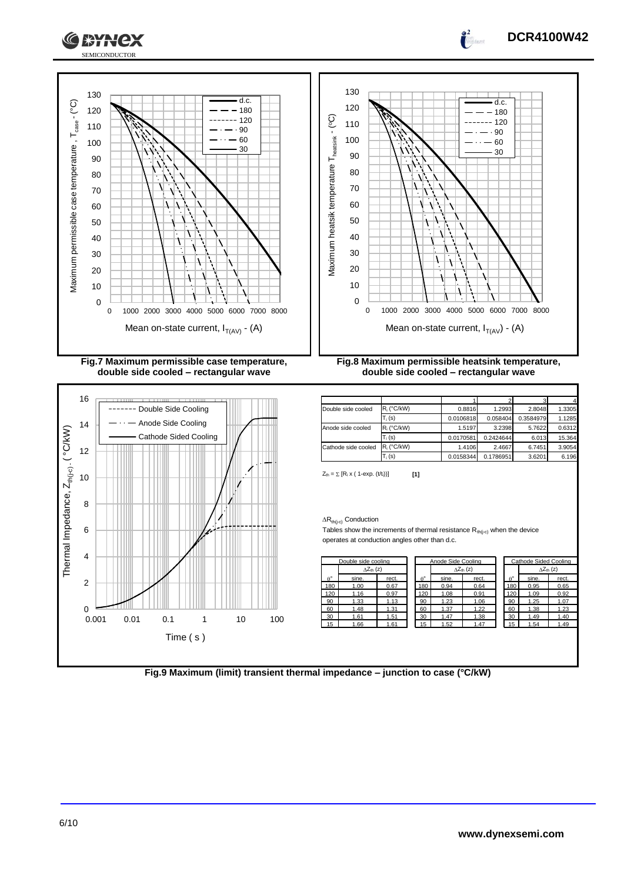

**Fig.7 Maximum permissible case temperature, double side cooled – rectangular wave**



**Fig.8 Maximum permissible heatsink temperature, double side cooled – rectangular wave**

| Double side cooled  | $R_i$ (°C/kW) | 0.8816    | 1.2993    | 2.8048    | 1.3305 |
|---------------------|---------------|-----------|-----------|-----------|--------|
|                     | $T_i$ (s)     | 0.0106818 | 0.058404  | 0.3584979 | 1.1285 |
| Anode side cooled   | $R_i$ (°C/kW) | 1.5197    | 3.2398    | 5.7622    | 0.6312 |
|                     | $T_i$ (s)     | 0.0170581 | 0.2424644 | 6.013     | 15.364 |
| Cathode side cooled | $R_i$ (°C/kW) | 1.4106    | 2.4667    | 6.7451    | 3.9054 |
|                     | $T_i$ (s)     | 0.0158344 | 0.1786951 | 3.6201    | 6.196  |

 $Z_{\text{th}} = \sum [R_i \times (1 - \exp. (t/t_i))]$  [1]

### $\Delta R_{th(j-c)}$  Conduction

Tables show the increments of thermal resistance  $R_{th(j-c)}$  when the device operates at conduction angles other than d.c.

| Double side cooling |                     |       | Anode Side Cooling |                  |       |                           |  | Cathode Sided Cooling |       |                     |
|---------------------|---------------------|-------|--------------------|------------------|-------|---------------------------|--|-----------------------|-------|---------------------|
|                     | $\wedge Z_{th}$ (z) |       |                    |                  |       | $\Delta Z_{\text{th}}(z)$ |  |                       |       | $\Delta Z_{th}$ (z) |
| $\theta^{\circ}$    | sine.               | rect. |                    | $\theta^{\circ}$ | sine. | rect.                     |  | $A^{\circ}$           | sine. | rect.               |
| 180                 | 1.00                | 0.67  |                    | 180              | 0.94  | 0.64                      |  | 180                   | 0.95  | 0.65                |
| 120                 | 1.16                | 0.97  |                    | 120              | 1.08  | 0.91                      |  | 120                   | 1.09  | 0.92                |
| 90                  | 1.33                | 1.13  |                    | 90               | 1.23  | 1.06                      |  | 90                    | 1.25  | 1.07                |
| 60                  | 1.48                | 1.31  |                    | 60               | 1.37  | 1.22                      |  | 60                    | 1.38  | 1.23                |
| 30                  | 1.61                | 1.51  |                    | 30               | 1.47  | 1.38                      |  | 30                    | 1.49  | 1.40                |
| 15                  | 1.66                | 1.61  |                    | 15               | 1.52  | 1.47                      |  | 15                    | 1.54  | 1.49                |

| Cathode Sided Cooling |                           |       |  |  |  |  |
|-----------------------|---------------------------|-------|--|--|--|--|
|                       | $\wedge Z_{\text{th}}(z)$ |       |  |  |  |  |
| $\rho^{\circ}$        | sine.                     | rect. |  |  |  |  |
| 180                   | 0.95                      | 0.65  |  |  |  |  |
| 120                   | 1.09                      | 0.92  |  |  |  |  |
| 90                    | 1.25                      | 1.07  |  |  |  |  |
| 60                    | 1.38                      | 1.23  |  |  |  |  |
| 30                    | 1.49                      | 1.40  |  |  |  |  |
| 15                    | 1.54                      | 1.49  |  |  |  |  |
|                       |                           |       |  |  |  |  |

**Fig.9 Maximum (limit) transient thermal impedance – junction to case (°C/kW)**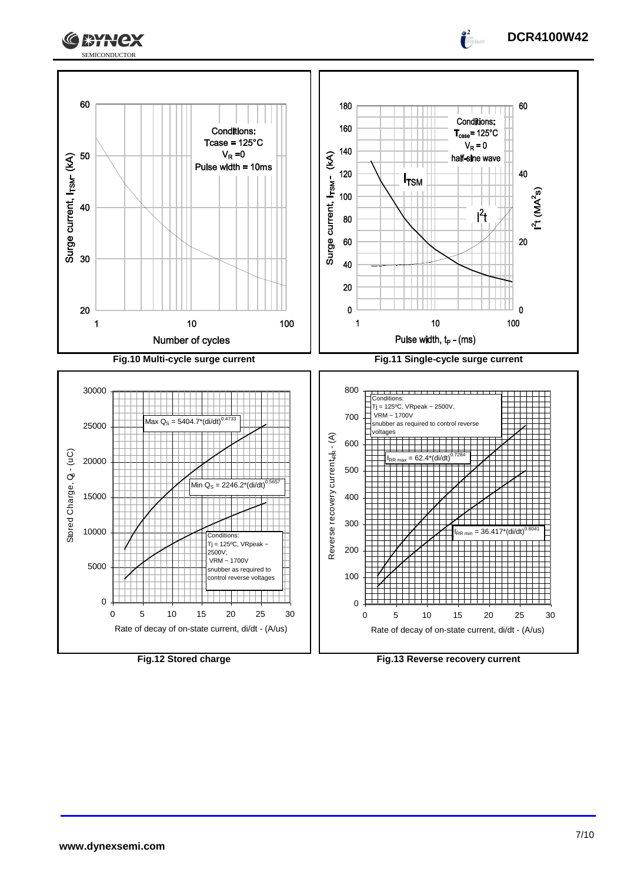



**DCR4100W42**

 $\frac{2}{\pi}$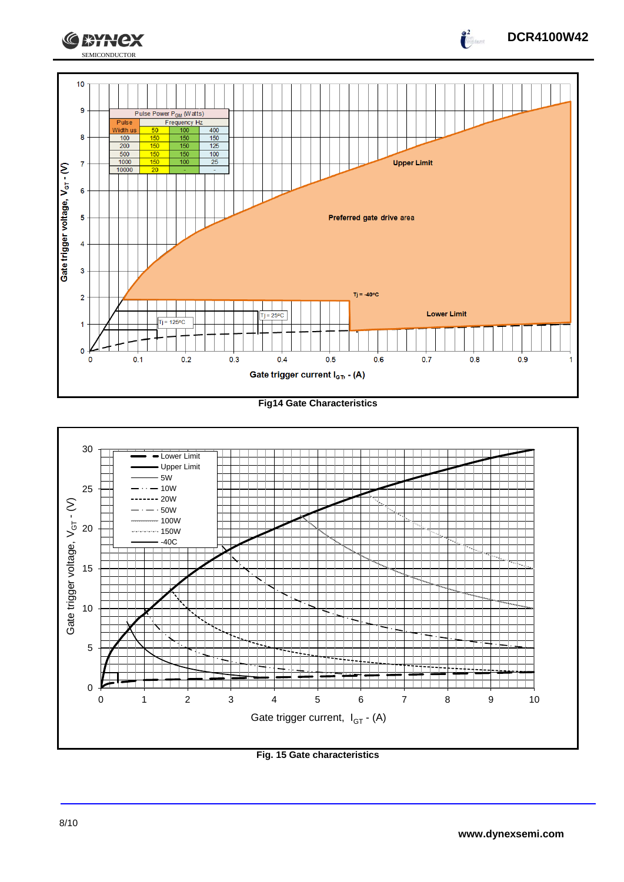

**Fig14 Gate Characteristics**



**Fig. 15 Gate characteristics**

**DCR4100W42**

 $\int_{0}^{2}$ 

**CEYNEX**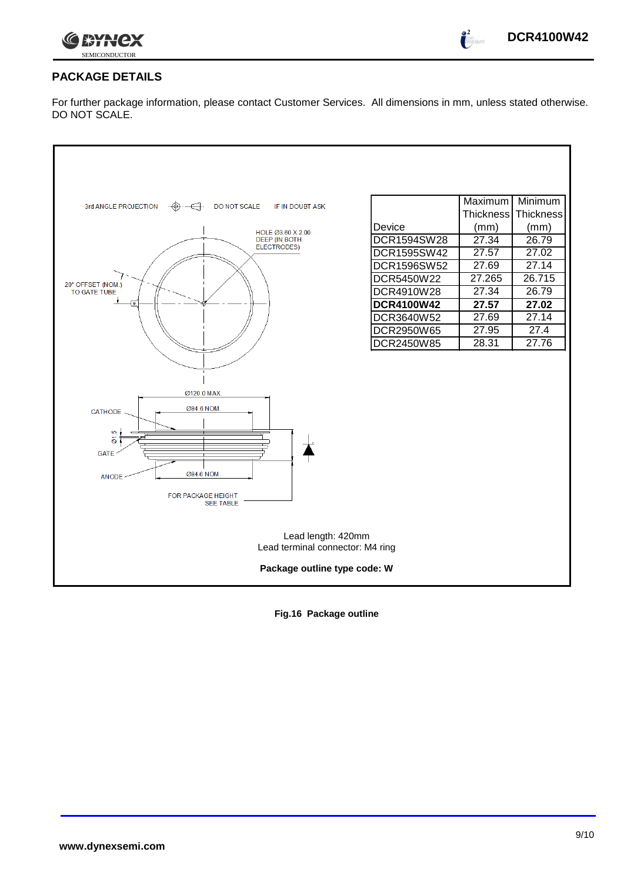

 $\int_0^2$ 

# **PACKAGE DETAILS**

For further package information, please contact Customer Services. All dimensions in mm, unless stated otherwise. DO NOT SCALE.



**Fig.16 Package outline**